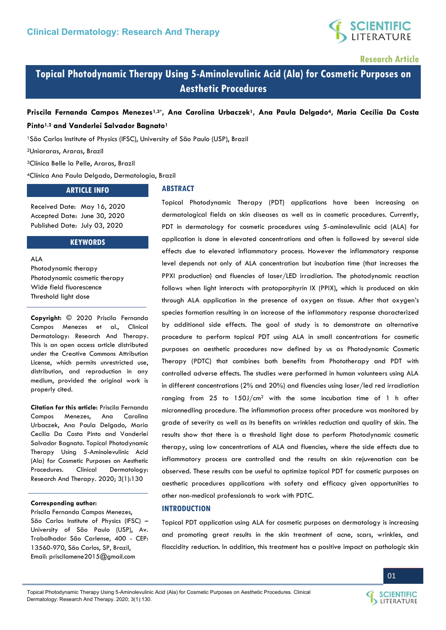

**Research Article** 

# **Topical Photodynamic Therapy Using 5-Aminolevulinic Acid (Ala) for Cosmetic Purposes on Aesthetic Procedures**

# **Priscila Fernanda Campos Menezes1,3\*, Ana Carolina Urbaczek1, Ana Paula Delgado4, Maria Cecília Da Costa Pinto1,2 and Vanderlei Salvador Bagnato<sup>1</sup>**

<sup>1</sup>São Carlos Institute of Physics (IFSC), University of São Paulo (USP), Brazil

<sup>2</sup>Uniararas, Araras, Brazil

<sup>3</sup>Clínica Belle la Pelle, Araras, Brazil

<sup>4</sup>Clínica Ana Paula Delgado, Dermatologia, Brazil

# **ARTICLE INFO**

Received Date: May 16, 2020 Accepted Date: June 30, 2020 Published Date: July 03, 2020

### **KEYWORDS**

ALA Photodynamic therapy Photodynamic cosmetic therapy Wide field fluorescence Threshold light dose

**Copyright:** © 2020 Priscila Fernanda Campos Menezes et al., Clinical Dermatology: Research And Therapy. This is an open access article distributed under the Creative Commons Attribution License, which permits unrestricted use, distribution, and reproduction in any medium, provided the original work is properly cited.

**Citation for this article:** Priscila Fernanda Campos Menezes, Ana Carolina Urbaczek, Ana Paula Delgado, Maria Cecília Da Costa Pinto and Vanderlei Salvador Bagnato. Topical Photodynamic Therapy Using 5-Aminolevulinic Acid (Ala) for Cosmetic Purposes on Aesthetic Procedures. Clinical Dermatology: Research And Therapy. 2020; 3(1):130

#### **Corresponding author:**

Priscila Fernanda Campos Menezes, São Carlos Institute of Physics (IFSC) – University of São Paulo (USP), Av. Trabalhador São Carlense, 400 - CEP: 13560-970, São Carlos, SP, Brazil, Email[: priscilamene2015@gmail.com](mailto:priscilamene2015@gmail.com) 

### **ABSTRACT**

Topical Photodynamic Therapy (PDT) applications have been increasing on dermatological fields on skin diseases as well as in cosmetic procedures. Currently, PDT in dermatology for cosmetic procedures using 5-aminolevulinic acid (ALA) for application is done in elevated concentrations and often is followed by several side effects due to elevated inflammatory process. However the inflammatory response level depends not only of ALA concentration but incubation time (that increases the PPXI production) and fluencies of laser/LED irradiation. The photodynamic reaction follows when light interacts with protoporphyrin IX (PPIX), which is produced on skin through ALA application in the presence of oxygen on tissue. After that oxygen's species formation resulting in an increase of the inflammatory response characterized by additional side effects. The goal of study is to demonstrate an alternative procedure to perform topical PDT using ALA in small concentrations for cosmetic purposes on aesthetic procedures now defined by us as Photodynamic Cosmetic Therapy (PDTC) that combines both benefits from Phototherapy and PDT with controlled adverse effects. The studies were performed in human volunteers using ALA in different concentrations (2% and 20%) and fluencies using laser/led red irradiation ranging from  $25$  to  $150$ J/cm<sup>2</sup> with the same incubation time of 1 h after micronnedling procedure. The inflammation process after procedure was monitored by grade of severity as well as its benefits on wrinkles reduction and quality of skin. The results show that there is a threshold light dose to perform Photodynamic cosmetic therapy, using low concentrations of ALA and fluencies, where the side effects due to inflammatory process are controlled and the results on skin rejuvenation can be observed. These results can be useful to optimize topical PDT for cosmetic purposes on aesthetic procedures applications with safety and efficacy given opportunities to other non-medical professionals to work with PDTC.

#### **INTRODUCTION**

Topical PDT application using ALA for cosmetic purposes on dermatology is increasing and promoting great results in the skin treatment of acne, scars, wrinkles, and flaccidity reduction. In addition, this treatment has a positive impact on pathologic skin



01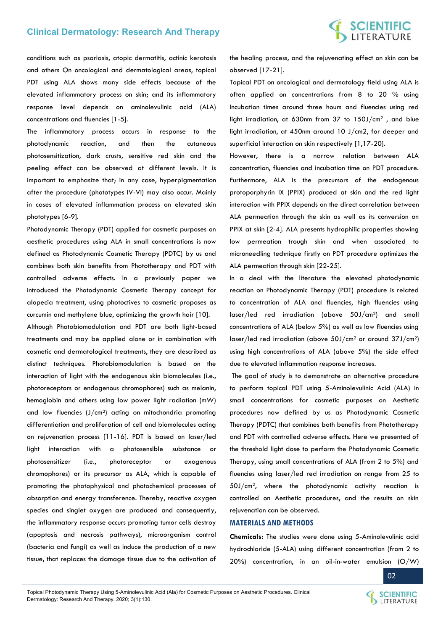# **SCIENTIFIC**<br>LITERATURE

conditions such as psoriasis, atopic dermatitis, actinic keratosis and others On oncological and dermatological areas, topical PDT using ALA shows many side effects because of the elevated inflammatory process on skin; and its inflammatory response level depends on aminolevulinic acid (ALA) concentrations and fluencies [1-5].

The inflammatory process occurs in response to the photodynamic reaction, and then the cutaneous photosensitization, dark crusts, sensitive red skin and the peeling effect can be observed at different levels. It is important to emphasize that; in any case, hyperpigmentation after the procedure (phototypes IV-VI) may also occur. Mainly in cases of elevated inflammation process on elevated skin phototypes [6-9].

Photodynamic Therapy (PDT) applied for cosmetic purposes on aesthetic procedures using ALA in small concentrations is now defined as Photodynamic Cosmetic Therapy (PDTC) by us and combines both skin benefits from Phototherapy and PDT with controlled adverse effects. In a previously paper we introduced the Photodynamic Cosmetic Therapy concept for alopecia treatment, using photoctives to cosmetic proposes as curcumin and methylene blue, optimizing the growth hair [10].

Although Photobiomodulation and PDT are both light-based treatments and may be applied alone or in combination with cosmetic and dermatological treatments, they are described as distinct techniques. Photobiomodulation is based on the interaction of light with the endogenous skin biomolecules (i.e., photoreceptors or endogenous chromophores) such as melanin, hemoglobin and others using low power light radiation (mW) and low fluencies  $(J/cm<sup>2</sup>)$  acting on mitochondria promoting differentiation and proliferation of cell and biomolecules acting on rejuvenation process [11-16]. PDT is based on laser/led light interaction with a photosensible substance or photosensitizer (i.e., photoreceptor or exogenous chromophores) or its precursor as ALA, which is capable of promoting the photophysical and photochemical processes of absorption and energy transference. Thereby, reactive oxygen species and singlet oxygen are produced and consequently, the inflammatory response occurs promoting tumor cells destroy (apoptosis and necrosis pathways), microorganism control (bacteria and fungi) as well as induce the production of a new tissue, that replaces the damage tissue due to the activation of

the healing process, and the rejuvenating effect on skin can be observed [17-21].

Topical PDT on oncological and dermatology field using ALA is often applied on concentrations from 8 to 20 % using Incubation times around three hours and fluencies using red light irradiation, at 630nm from 37 to 150J/cm2 , and blue light irradiation, at 450nm around 10 J/cm2, for deeper and superficial interaction on skin respectively [1,17-20].

However, there is a narrow relation between ALA concentration, fluencies and incubation time on PDT procedure. Furthermore, ALA is the precursors of the endogenous protoporphyrin IX (PPIX) produced at skin and the red light interaction with PPIX depends on the direct correlation between ALA permeation through the skin as well as its conversion on PPIX at skin [2-4]. ALA presents hydrophilic properties showing low permeation trough skin and when associated to microneedling technique firstly on PDT procedure optimizes the ALA permeation through skin [22-25].

In a deal with the literature the elevated photodynamic reaction on Photodynamic Therapy (PDT) procedure is related to concentration of ALA and fluencies, high fluencies using laser/led red irradiation (above 50J/cm2) and small concentrations of ALA (below 5%) as well as low fluencies using laser/led red irradiation (above 50J/cm2 or around 37J/cm2) using high concentrations of ALA (above 5%) the side effect due to elevated inflammation response increases.

 The goal of study is to demonstrate an alternative procedure to perform topical PDT using 5-Aminolevulinic Acid (ALA) in small concentrations for cosmetic purposes on Aesthetic procedures now defined by us as Photodynamic Cosmetic Therapy (PDTC) that combines both benefits from Phototherapy and PDT with controlled adverse effects. Here we presented of the threshold light dose to perform the Photodynamic Cosmetic Therapy, using small concentrations of ALA (from 2 to 5%) and fluencies using laser/led red irradiation on range from 25 to 50J/cm2, where the photodynamic activity reaction is controlled on Aesthetic procedures, and the results on skin rejuvenation can be observed.

# **MATERIALS AND METHODS**

**Chemicals:** The studies were done using 5-Aminolevulinic acid hydrochloride (5-ALA) using different concentration (from 2 to 20%) concentration, in an oil-in-water emulsion (O/W)

Topical Photodynamic Therapy Using 5-Aminolevulinic Acid (Ala) for Cosmetic Purposes on Aesthetic Procedures. Clinical Dermatology: Research And Therapy. 2020; 3(1):130.

02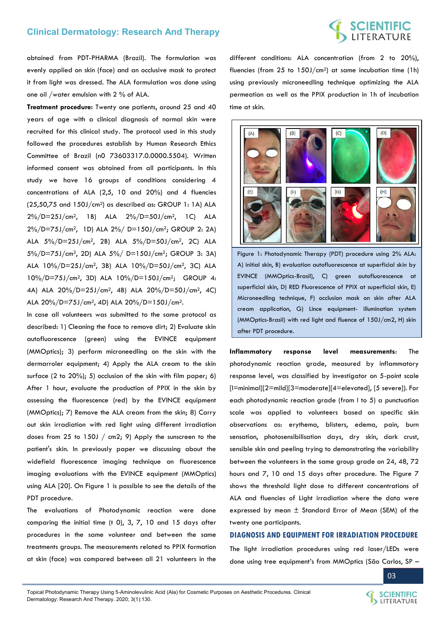# **SCIENTIFIC**<br>LITERATURE

obtained from PDT-PHARMA (Brazil). The formulation was evenly applied on skin (face) and an occlusive mask to protect it from light was dressed. The ALA formulation was done using one oil /water emulsion with 2 % of ALA.

**Treatment procedure:** Twenty one patients, around 25 and 40 years of age with a clinical diagnosis of normal skin were recruited for this clinical study. The protocol used in this study followed the procedures establish by Human Research Ethics Committee of Brazil (n0 73603317.0.0000.5504). Written informed consent was obtained from all participants. In this study we have 16 groups of conditions considering 4 concentrations of ALA (2,5, 10 and 20%) and 4 fluencies (25,50,75 and 150J/cm2) as described as: GROUP 1: 1A) ALA 2%/D=25J/cm2, 1B) ALA 2%/D=50J/cm2, 1C) ALA 2%/D=75J/cm2, 1D) ALA 2%/ D=150J/cm2; GROUP 2: 2A) ALA 5%/D=25J/cm2, 2B) ALA 5%/D=50J/cm2, 2C) ALA 5%/D=75J/cm2, 2D) ALA 5%/ D=150J/cm2; GROUP 3: 3A) ALA 10%/D=25J/cm2, 3B) ALA 10%/D=50J/cm2, 3C) ALA 10%/D=75J/cm2, 3D) ALA 10%/D=150J/cm2; GROUP 4: 4A) ALA 20%/D=25J/cm2, 4B) ALA 20%/D=50J/cm2, 4C) ALA 20%/D=75J/cm2, 4D) ALA 20%/D=150J/cm2.

In case all volunteers was submitted to the same protocol as described: 1) Cleaning the face to remove dirt; 2) Evaluate skin autofluorescence (green) using the EVINCE equipment (MMOptics); 3) perform microneedling on the skin with the dermarroler equipment; 4) Apply the ALA cream to the skin surface (2 to 20%); 5) occlusion of the skin with film paper; 6) After 1 hour, evaluate the production of PPIX in the skin by assessing the fluorescence (red) by the EVINCE equipment (MMOptics); 7) Remove the ALA cream from the skin; 8) Carry out skin irradiation with red light using different irradiation doses from 25 to 150J /  $cm2$ ; 9) Apply the sunscreen to the patient's skin. In previously paper we discussing about the widefield fluorescence imaging technique on fluorescence imaging evaluations with the EVINCE equipment (MMOptics) using ALA [20]. On Figure 1 is possible to see the details of the PDT procedure.

The evaluations of Photodynamic reaction were done comparing the initial time (t 0), 3, 7, 10 and 15 days after procedures in the same volunteer and between the same treatments groups. The measurements related to PPIX formation at skin (face) was compared between all 21 volunteers in the

different conditions: ALA concentration (from 2 to 20%), fluencies (from  $25$  to  $150$ J/cm<sup>2</sup>) at same incubation time (1h) using previously microneedling technique optimizing the ALA permeation as well as the PPIX production in 1h of incubation time at skin.



Figure 1: Photodynamic Therapy (PDT) procedure using 2% ALA: A) initial skin, B) evaluation autofluorescence at superficial skin by EVINCE (MMOptics-Brasil), C) green autofluorescence at superficial skin, D) RED Fluorescence of PPIX at superficial skin, E) Microneedling technique, F) occlusion mask on skin after ALA cream application, G) Lince equipment- illumination system (MMOptics-Brasil) with red light and fluence of 150J/cm2, H) skin after PDT procedure.

**Inflammatory response level measurements**: The photodynamic reaction grade, measured by inflammatory response level, was classified by investigator on 5-point scale [l=minimal][2=mild][3=moderate][4=elevated], [5 severe]). For each photodynamic reaction grade (from I to 5) a punctuation scale was applied to volunteers based on specific skin observations as: erythema, blisters, edema, pain, burn sensation, photosensibilisation days, dry skin, dark crust, sensible skin and peeling trying to demonstrating the variability between the volunteers in the same group grade on 24, 48, 72 hours and 7, 10 and 15 days after procedure. The Figure 7 shows the threshold light dose to different concentrations of ALA and fluencies of Light irradiation where the data were expressed by mean ± Standard Error of Mean (SEM) of the twenty one participants.

### **DIAGNOSIS AND EQUIPMENT FOR IRRADIATION PROCEDURE**

The light irradiation procedures using red laser/LEDs were done using tree equipment's from MMOptics (São Carlos, SP –



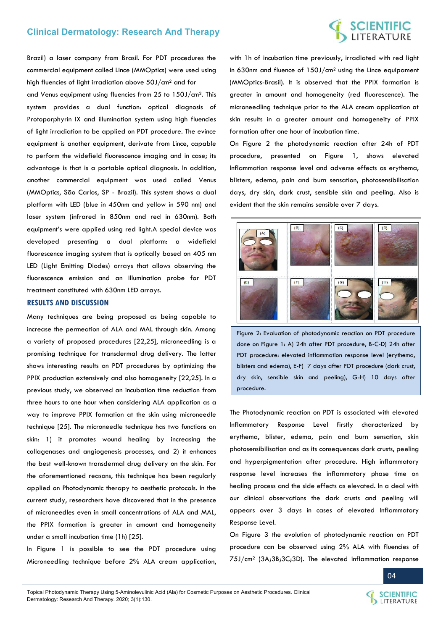# **SCIENTIFIC**<br>LITERATURE

Brazil) a laser company from Brasil. For PDT procedures the commercial equipment called Lince (MMOptics) were used using high fluencies of light irradiation above 50J/cm2 and for

and Venus equipment using fluencies from 25 to 150J/cm2. This system provides a dual function: optical diagnosis of Protoporphyrin IX and illumination system using high fluencies of light irradiation to be applied on PDT procedure. The evince equipment is another equipment, derivate from Lince, capable to perform the widefield fluorescence imaging and in case; its advantage is that is a portable optical diagnosis. In addition, another commercial equipment was used called Venus (MMOptics, São Carlos, SP - Brazil). This system shows a dual platform with LED (blue in 450nm and yellow in 590 nm) and laser system (infrared in 850nm and red in 630nm). Both equipment's were applied using red light.A special device was developed presenting a dual platform: a widefield fluorescence imaging system that is optically based on 405 nm LED (Light Emitting Diodes) arrays that allows observing the fluorescence emission and an illumination probe for PDT treatment constituted with 630nm LED arrays.

### **RESULTS AND DISCUSSION**

Many techniques are being proposed as being capable to increase the permeation of ALA and MAL through skin. Among a variety of proposed procedures [22,25], microneedling is a promising technique for transdermal drug delivery. The latter shows interesting results on PDT procedures by optimizing the PPIX production extensively and also homogeneity [22,25]. In a previous study, we observed an incubation time reduction from three hours to one hour when considering ALA application as a way to improve PPIX formation at the skin using microneedle technique [25]. The microneedle technique has two functions on skin: 1) it promotes wound healing by increasing the collagenases and angiogenesis processes, and 2) it enhances the best well-known transdermal drug delivery on the skin. For the aforementioned reasons, this technique has been regularly applied on Photodynamic therapy to aesthetic protocols. In the current study, researchers have discovered that in the presence of microneedles even in small concentrations of ALA and MAL, the PPIX formation is greater in amount and homogeneity under a small incubation time (1h) [25].

In Figure 1 is possible to see the PDT procedure using Microneedling technique before 2% ALA cream application,

with 1h of incubation time previously, irradiated with red light in 630nm and fluence of 150J/cm2 using the Lince equipament (MMOptics-Brasil). It is observed that the PPIX formation is greater in amount and homogeneity (red fluorescence). The microneedling technique prior to the ALA cream application at skin results in a greater amount and homogeneity of PPIX formation after one hour of incubation time.

On Figure 2 the photodynamic reaction after 24h of PDT procedure, presented on Figure 1, shows elevated Inflammation response level and adverse effects as erythema, blisters, edema, pain and burn sensation, photosensibilisation days, dry skin, dark crust, sensible skin and peeling. Also is evident that the skin remains sensible over 7 days.



Figure 2: Evaluation of photodynamic reaction on PDT procedure done on Figure 1: A) 24h after PDT procedure, B-C-D) 24h after PDT procedure: elevated inflammation response level (erythema, blisters and edema), E-F) 7 days after PDT procedure (dark crust, dry skin, sensible skin and peeling), G-H) 10 days after procedure.

The Photodynamic reaction on PDT is associated with elevated Inflammatory Response Level firstly characterized by erythema, blister, edema, pain and burn sensation, skin photosensibilisation and as its consequences dark crusts, peeling and hyperpigmentation after procedure. High inflammatory response level increases the inflammatory phase time on healing process and the side effects as elevated. In a deal with our clinical observations the dark crusts and peeling will appears over 3 days in cases of elevated Inflammatory Response Level.

On Figure 3 the evolution of photodynamic reaction on PDT procedure can be observed using 2% ALA with fluencies of 75J/cm2 (3A;3B;3C;3D). The elevated inflammation response



SCIENTIFIC **SCIENTIFIC**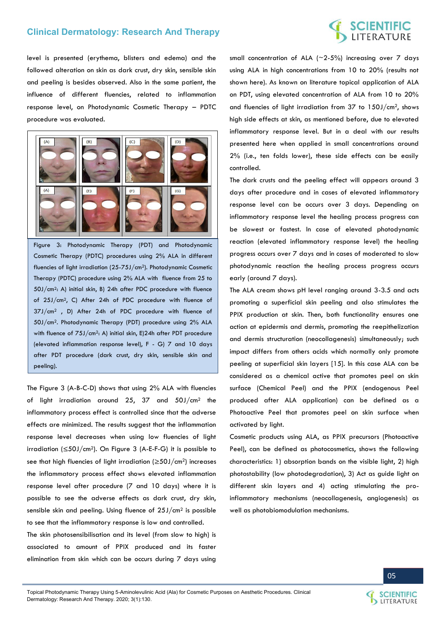# **SCIENTIFIC**<br>LITERATURE

level is presented (erythema, blisters and edema) and the followed alteration on skin as dark crust, dry skin, sensible skin and peeling is besides observed. Also in the same patient, the influence of different fluencies, related to inflammation response level, on Photodynamic Cosmetic Therapy – PDTC procedure was evaluated.



Figure 3: Photodynamic Therapy (PDT) and Photodynamic Cosmetic Therapy (PDTC) procedures using 2% ALA in different fluencies of light irradiation (25-75J/cm2). Photodynamic Cosmetic Therapy (PDTC) procedure using 2% ALA with fluence from 25 to 50J/cm2: A) initial skin, B) 24h after PDC procedure with fluence of 25J/cm2, C) After 24h of PDC procedure with fluence of 37J/cm2 , D) After 24h of PDC procedure with fluence of 50J/cm2. Photodynamic Therapy (PDT) procedure using 2% ALA with fluence of 75J/cm<sup>2</sup>: A) initial skin, E)24h after PDT procedure (elevated inflammation response level), F - G) 7 and 10 days after PDT procedure (dark crust, dry skin, sensible skin and peeling).

The Figure 3 (A-B-C-D) shows that using 2% ALA with fluencies of light irradiation around 25, 37 and 50J/cm2 the inflammatory process effect is controlled since that the adverse effects are minimized. The results suggest that the inflammation response level decreases when using low fluencies of light irradiation ( $\leq$ 50J/cm<sup>2</sup>). On Figure 3 (A-E-F-G) it is possible to see that high fluencies of light irradiation (≥50J/cm2) increases the inflammatory process effect shows elevated inflammation response level after procedure (7 and 10 days) where it is possible to see the adverse effects as dark crust, dry skin, sensible skin and peeling. Using fluence of 25J/cm2 is possible to see that the inflammatory response is low and controlled.

The skin photosensibilisation and its level (from slow to high) is associated to amount of PPIX produced and its faster elimination from skin which can be occurs during 7 days using

small concentration of ALA ( $\sim$ 2-5%) increasing over 7 days using ALA in high concentrations from 10 to 20% (results not shown here). As known on literature topical application of ALA on PDT, using elevated concentration of ALA from 10 to 20% and fluencies of light irradiation from 37 to 150J/cm2, shows high side effects at skin, as mentioned before, due to elevated inflammatory response level. But in a deal with our results presented here when applied in small concentrations around 2% (i.e., ten folds lower), these side effects can be easily controlled.

The dark crusts and the peeling effect will appears around 3 days after procedure and in cases of elevated inflammatory response level can be occurs over 3 days. Depending on inflammatory response level the healing process progress can be slowest or fastest. In case of elevated photodynamic reaction (elevated inflammatory response level) the healing progress occurs over 7 days and in cases of moderated to slow photodynamic reaction the healing process progress occurs early (around 7 days).

The ALA cream shows pH level ranging around 3-3.5 and acts promoting a superficial skin peeling and also stimulates the PPIX production at skin. Then, both functionality ensures one action at epidermis and dermis, promoting the reepithelization and dermis structuration (neocollagenesis) simultaneously; such impact differs from others acids which normally only promote peeling at superficial skin layers [15]. In this case ALA can be considered as a chemical active that promotes peel on skin surface (Chemical Peel) and the PPIX (endogenous Peel produced after ALA application) can be defined as a Photoactive Peel that promotes peel on skin surface when activated by light.

Cosmetic products using ALA, as PPIX precursors (Photoactive Peel), can be defined as photocosmetics, shows the following characteristics: 1) absorption bands on the visible light, 2) high photostability (low photodegradation), 3) Act as guide light on different skin layers and 4) acting stimulating the proinflammatory mechanisms (neocollagenesis, angiogenesis) as well as photobiomodulation mechanisms.



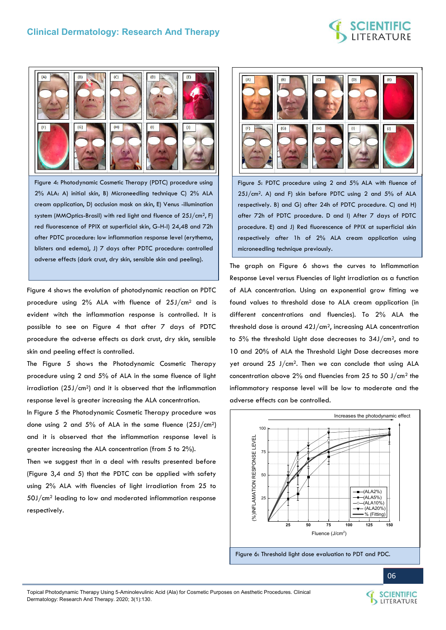

Figure 4: Photodynamic Cosmetic Therapy (PDTC) procedure using 2% ALA: A) initial skin, B) Microneedling technique C) 2% ALA cream application, D) occlusion mask on skin, E) Venus -illumination system (MMOptics-Brasil) with red light and fluence of 25J/cm2, F) red fluorescence of PPIX at superficial skin, G-H-I) 24,48 and 72h after PDTC procedure: low inflammation response level (erythema, blisters and edema), J) 7 days after PDTC procedure: controlled adverse effects (dark crust, dry skin, sensible skin and peeling).

Figure 4 shows the evolution of photodynamic reaction on PDTC procedure using 2% ALA with fluence of 25J/cm2 and is evident witch the inflammation response is controlled. It is possible to see on Figure 4 that after 7 days of PDTC procedure the adverse effects as dark crust, dry skin, sensible skin and peeling effect is controlled.

The Figure 5 shows the Photodynamic Cosmetic Therapy procedure using 2 and 5% of ALA in the same fluence of light irradiation  $(25J/cm<sup>2</sup>)$  and it is observed that the inflammation response level is greater increasing the ALA concentration.

In Figure 5 the Photodynamic Cosmetic Therapy procedure was done using 2 and 5% of ALA in the same fluence (25J/cm2) and it is observed that the inflammation response level is greater increasing the ALA concentration (from 5 to 2%).

Then we suggest that in a deal with results presented before (Figure 3,4 and 5) that the PDTC can be applied with safety using 2% ALA with fluencies of light irradiation from 25 to 50J/cm2 leading to low and moderated inflammation response respectively.



Figure 5: PDTC procedure using 2 and 5% ALA with fluence of 25J/cm2. A) and F) skin before PDTC using 2 and 5% of ALA respectively. B) and G) after 24h of PDTC procedure. C) and H) after 72h of PDTC procedure. D and I) After 7 days of PDTC procedure. E) and J) Red fluorescence of PPIX at superficial skin respectively after 1h of 2% ALA cream application using microneedling technique previously.

The graph on Figure 6 shows the curves to Inflammation Response Level versus Fluencies of light irradiation as a function of ALA concentration. Using an exponential grow fitting we found values to threshold dose to ALA cream application (in different concentrations and fluencies). To 2% ALA the threshold dose is around  $42J/cm<sup>2</sup>$ , increasing ALA concentration to 5% the threshold Light dose decreases to 34J/cm2, and to 10 and 20% of ALA the Threshold Light Dose decreases more yet around 25 J/cm2. Then we can conclude that using ALA concentration above 2% and fluencies from 25 to 50 J/cm2 the inflammatory response level will be low to moderate and the adverse effects can be controlled.



Topical Photodynamic Therapy Using 5-Aminolevulinic Acid (Ala) for Cosmetic Purposes on Aesthetic Procedures. Clinical Dermatology: Research And Therapy. 2020; 3(1):130.

06

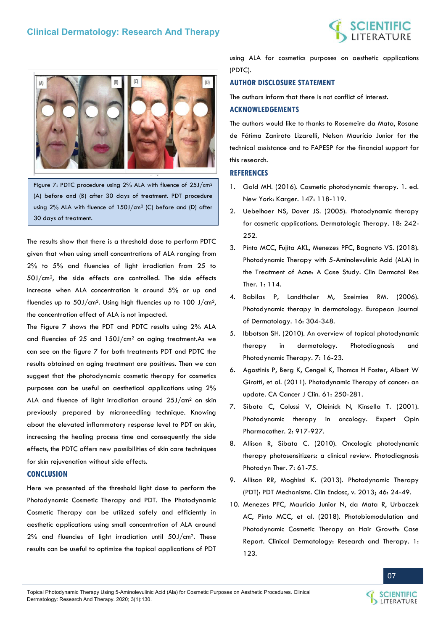



Figure 7: PDTC procedure using 2% ALA with fluence of 25J/cm<sup>2</sup> (A) before and (B) after 30 days of treatment. PDT procedure using 2% ALA with fluence of 150J/cm2 (C) before and (D) after 30 days of treatment.

The results show that there is a threshold dose to perform PDTC given that when using small concentrations of ALA ranging from 2% to 5% and fluencies of light irradiation from 25 to 50J/cm2, the side effects are controlled. The side effects increase when ALA concentration is around 5% or up and fluencies up to  $50$ J/cm<sup>2</sup>. Using high fluencies up to  $100$  J/cm<sup>2</sup>. the concentration effect of ALA is not impacted.

The Figure 7 shows the PDT and PDTC results using 2% ALA and fluencies of 25 and 150J/cm2 on aging treatment.As we can see on the figure 7 for both treatments PDT and PDTC the results obtained on aging treatment are positives. Then we can suggest that the photodynamic cosmetic therapy for cosmetics purposes can be useful on aesthetical applications using 2% ALA and fluence of light irradiation around 25J/cm2 on skin previously prepared by microneedling technique. Knowing about the elevated inflammatory response level to PDT on skin, increasing the healing process time and consequently the side effects, the PDTC offers new possibilities of skin care techniques for skin rejuvenation without side effects.

# **CONCLUSION**

Here we presented of the threshold light dose to perform the Photodynamic Cosmetic Therapy and PDT. The Photodynamic Cosmetic Therapy can be utilized safely and efficiently in aesthetic applications using small concentration of ALA around 2% and fluencies of light irradiation until 50J/cm2. These results can be useful to optimize the topical applications of PDT

using ALA for cosmetics purposes on aesthetic applications (PDTC).

# **AUTHOR DISCLOSURE STATEMENT**

The authors inform that there is not conflict of interest.

### **ACKNOWLEDGEMENTS**

The authors would like to thanks to Rosemeire da Mata, Rosane de Fátima Zanirato Lizarelli, Nelson Maurício Junior for the technical assistance and to FAPESP for the financial support for this research.

### **REFERENCES**

- 1. [Gold MH. \(2016\). Cosmetic photodynamic therapy. 1. ed.](https://www.ncbi.nlm.nih.gov/pmc/articles/PMC5967209/)  [New York: Karger. 147: 118-119.](https://www.ncbi.nlm.nih.gov/pmc/articles/PMC5967209/)
- 2. [Uebelhoer NS, Dover JS. \(2005\). Photodynamic therapy](https://onlinelibrary.wiley.com/doi/abs/10.1111/j.1529-8019.2005.05023.x)  [for cosmetic applications. Dermatologic Therapy. 18: 242-](https://onlinelibrary.wiley.com/doi/abs/10.1111/j.1529-8019.2005.05023.x) [252.](https://onlinelibrary.wiley.com/doi/abs/10.1111/j.1529-8019.2005.05023.x)
- 3. [Pinto MCC, Fujita AKL, Menezes PFC, Bagnato VS. \(2018\).](https://www.semanticscholar.org/paper/Photodynamic-Therapy-with-5-Aminolevulinic-Acid-(-)-Pinto-Fujita/5f62f5f4096e356d7fb44f14bbbfaaf4ff1433f8)  [Photodynamic Therapy with 5-Aminolevulinic Acid \(ALA\) in](https://www.semanticscholar.org/paper/Photodynamic-Therapy-with-5-Aminolevulinic-Acid-(-)-Pinto-Fujita/5f62f5f4096e356d7fb44f14bbbfaaf4ff1433f8)  [the Treatment of Acne: A Case Study. Clin Dermatol Res](https://www.semanticscholar.org/paper/Photodynamic-Therapy-with-5-Aminolevulinic-Acid-(-)-Pinto-Fujita/5f62f5f4096e356d7fb44f14bbbfaaf4ff1433f8)  [Ther. 1: 114.](https://www.semanticscholar.org/paper/Photodynamic-Therapy-with-5-Aminolevulinic-Acid-(-)-Pinto-Fujita/5f62f5f4096e356d7fb44f14bbbfaaf4ff1433f8)
- 4. [Babilas P, Landthaler M, Szeimies RM. \(2006\).](https://pubmed.ncbi.nlm.nih.gov/16935788/)  [Photodynamic therapy in dermatology. European Journal](https://pubmed.ncbi.nlm.nih.gov/16935788/)  [of Dermatology. 16: 304-348.](https://pubmed.ncbi.nlm.nih.gov/16935788/)
- 5. [Ibbotson SH. \(2010\). An overview of topical photodynamic](https://pubmed.ncbi.nlm.nih.gov/20230989/)  [therapy in dermatology. Photodiagnosis and](https://pubmed.ncbi.nlm.nih.gov/20230989/)  [Photodynamic Therapy. 7: 16-23.](https://pubmed.ncbi.nlm.nih.gov/20230989/)
- 6. [Agostinis P, Berg K, Cengel K, Thomas H Foster, Albert W](https://pubmed.ncbi.nlm.nih.gov/21617154/)  [Girotti, et al. \(2011\). Photodynamic Therapy of cancer: an](https://pubmed.ncbi.nlm.nih.gov/21617154/)  [update. CA Cancer J Clin. 61: 250-281.](https://pubmed.ncbi.nlm.nih.gov/21617154/)
- 7. [Sibata C, Colussi V, Oleinick N, Kinsella T. \(2001\).](https://www.tandfonline.com/doi/abs/10.1517/14656566.2.6.917)  [Photodynamic therapy in oncology. Expert Opin](https://www.tandfonline.com/doi/abs/10.1517/14656566.2.6.917)  [Pharmacother. 2: 917-927.](https://www.tandfonline.com/doi/abs/10.1517/14656566.2.6.917)
- 8. [Allison R, Sibata C. \(2010\). Oncologic photodynamic](https://pubmed.ncbi.nlm.nih.gov/20510301/)  [therapy photosensitizers: a clinical review. Photodiagnosis](https://pubmed.ncbi.nlm.nih.gov/20510301/)  [Photodyn Ther. 7: 61-75.](https://pubmed.ncbi.nlm.nih.gov/20510301/)
- 9. [Allison RR, Moghissi K. \(2013\). Photodynamic Therapy](https://pubmed.ncbi.nlm.nih.gov/23422955/)  [\(PDT\): PDT Mechanisms. Clin Endosc, v. 2013; 46: 24-49.](https://pubmed.ncbi.nlm.nih.gov/23422955/)
- 10. [Menezes PFC, Mauricio Junior N, da Mata R, Urbaczek](https://scientificliterature.org/Dermatology/Dermatology-18-123.pdf)  [AC, Pinto MCC, et al. \(2018\). Photobiomodulation and](https://scientificliterature.org/Dermatology/Dermatology-18-123.pdf)  [Photodynamic Cosmetic Therapy on Hair Growth: Case](https://scientificliterature.org/Dermatology/Dermatology-18-123.pdf)  [Report. Clinical Dermatology: Research and Therapy. 1:](https://scientificliterature.org/Dermatology/Dermatology-18-123.pdf)  [123.](https://scientificliterature.org/Dermatology/Dermatology-18-123.pdf)